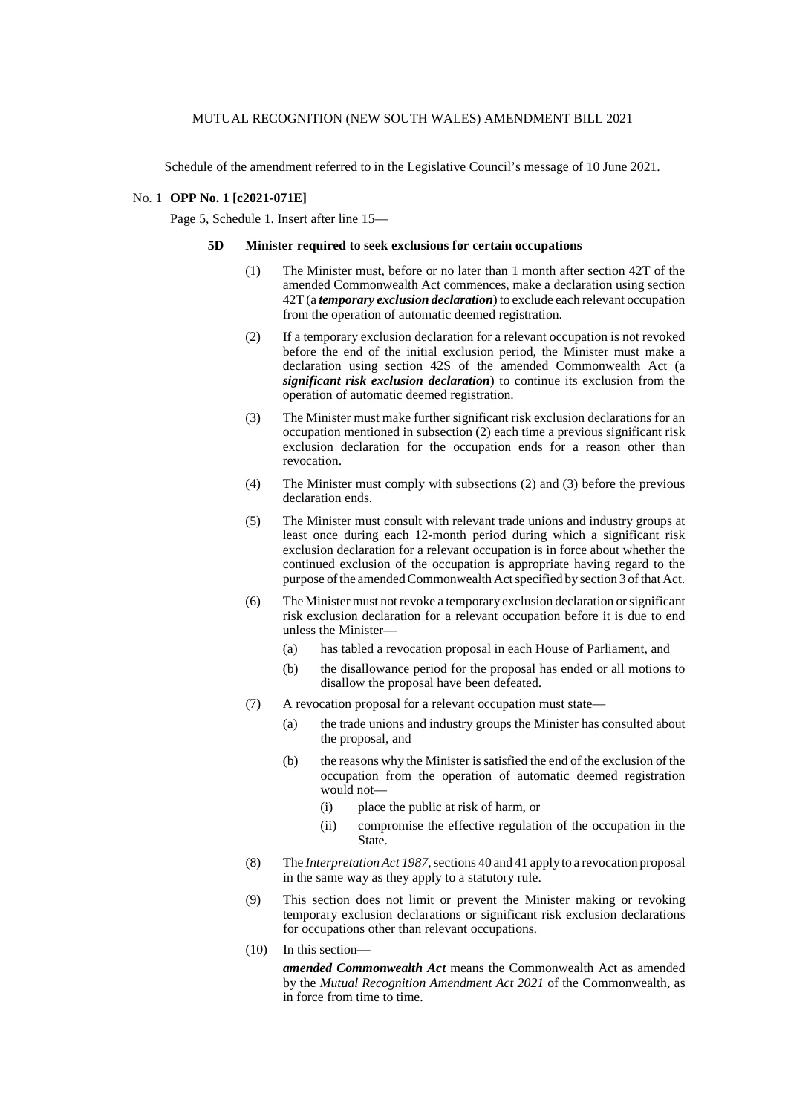Schedule of the amendment referred to in the Legislative Council's message of 10 June 2021.

## No. 1 **OPP No. 1 [c2021-071E]**

Page 5, Schedule 1. Insert after line 15—

## **5D Minister required to seek exclusions for certain occupations**

- (1) The Minister must, before or no later than 1 month after section 42T of the amended Commonwealth Act commences, make a declaration using section 42T (a *temporary exclusion declaration*) to exclude each relevant occupation from the operation of automatic deemed registration.
- (2) If a temporary exclusion declaration for a relevant occupation is not revoked before the end of the initial exclusion period, the Minister must make a declaration using section 42S of the amended Commonwealth Act (a *significant risk exclusion declaration*) to continue its exclusion from the operation of automatic deemed registration.
- (3) The Minister must make further significant risk exclusion declarations for an occupation mentioned in subsection (2) each time a previous significant risk exclusion declaration for the occupation ends for a reason other than revocation.
- (4) The Minister must comply with subsections (2) and (3) before the previous declaration ends.
- (5) The Minister must consult with relevant trade unions and industry groups at least once during each 12-month period during which a significant risk exclusion declaration for a relevant occupation is in force about whether the continued exclusion of the occupation is appropriate having regard to the purpose of the amended Commonwealth Act specified by section 3 of that Act.
- (6) The Minister must not revoke a temporary exclusion declaration orsignificant risk exclusion declaration for a relevant occupation before it is due to end unless the Minister—
	- (a) has tabled a revocation proposal in each House of Parliament, and
	- (b) the disallowance period for the proposal has ended or all motions to disallow the proposal have been defeated.
- (7) A revocation proposal for a relevant occupation must state—
	- (a) the trade unions and industry groups the Minister has consulted about the proposal, and
	- (b) the reasons why the Minister issatisfied the end of the exclusion of the occupation from the operation of automatic deemed registration would not—
		- (i) place the public at risk of harm, or
		- (ii) compromise the effective regulation of the occupation in the State.
- (8) The *InterpretationAct 1987*,sections 40 and 41 apply to a revocation proposal in the same way as they apply to a statutory rule.
- (9) This section does not limit or prevent the Minister making or revoking temporary exclusion declarations or significant risk exclusion declarations for occupations other than relevant occupations.
- (10) In this section—

*amended Commonwealth Act* means the Commonwealth Act as amended by the *Mutual Recognition Amendment Act 2021* of the Commonwealth, as in force from time to time.